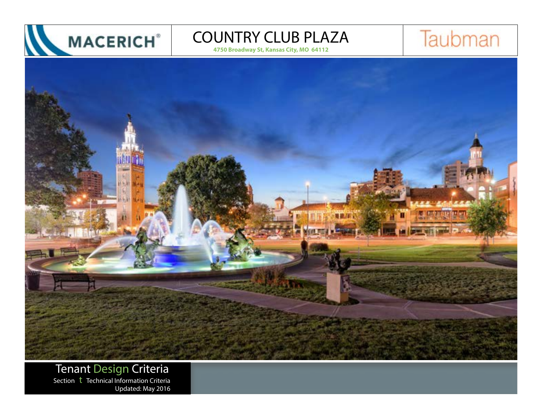

**4750 Broadway St, Kansas City, MO 64112**





Tenant Design Criteria Section  $t$  Technical Information Criteria Updated: May 2016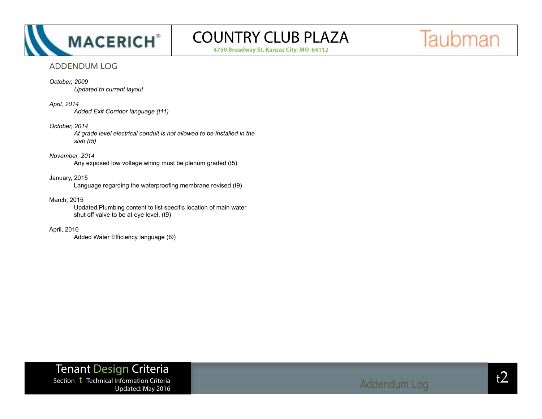

**4750 Broadway St, Kansas City, MO 64112**



## ADDENDUM LOG

### *October, 2009*

*Updated to current layout*

#### *April, 2014*

*Added Exit Corridor language (t11)*

#### *October, 2014*

*At grade level electrical conduit is not allowed to be installed in the slab (t5)*

## *November, 2014*

Any exposed low voltage wiring must be plenum graded (t5)

### January, 2015

 Language regarding the waterproofing membrane revised (t9)

#### March, 2015

 Updated Plumbing content to list specific location of main water shut off valve to be at eye level. (t9)

#### April, 2016

 Added Water Efficiency language (t9)

Tenant Design Criteria Section t Technical Information Criteria updated: May 2016<br>Updated: May 2016

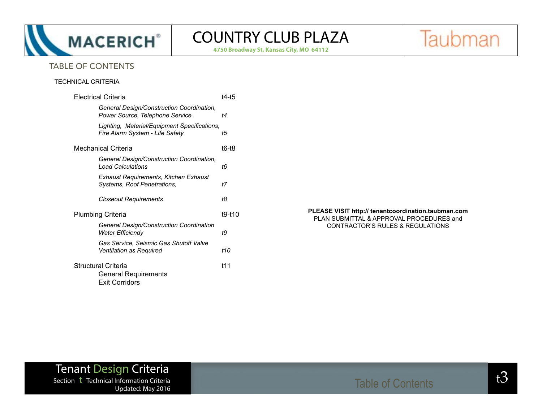

**4750 Broadway St, Kansas City, MO 64112**

Taubman

## TABLE OF CONTENTS

## TECHNICAL CRITERIA

|                                                                             | <b>Electrical Criteria</b>                                                      |        |
|-----------------------------------------------------------------------------|---------------------------------------------------------------------------------|--------|
|                                                                             | General Design/Construction Coordination,<br>Power Source, Telephone Service    | t4     |
|                                                                             | Lighting, Material/Equipment Specifications,<br>Fire Alarm System - Life Safety | t5     |
| Mechanical Criteria                                                         |                                                                                 | t6-t8  |
|                                                                             | General Design/Construction Coordination,<br><b>Load Calculations</b>           | t6     |
|                                                                             | Exhaust Requirements, Kitchen Exhaust<br>Systems, Roof Penetrations,            | t7     |
|                                                                             | <b>Closeout Requirements</b>                                                    | t8     |
| Plumbing Criteria                                                           |                                                                                 | t9-t10 |
|                                                                             | General Design/Construction Coordination<br>Water Efficiendy                    | t9     |
|                                                                             | Gas Service, Seismic Gas Shutoff Valve<br>Ventilation as Required               | t10    |
| Structural Criteria<br><b>General Requirements</b><br><b>Exit Corridors</b> |                                                                                 | t11    |

#### **PLEASE VISIT http:// tenantcoordination.taubman.com** PLAN SUBMITTAL & APPROVAL PROCEDURES and CONTRACTOR'S RULES & REGULATIONS

## Tenant Design Criteria  $\frac{1}{2}$ Section t Technical Information Criteria t3 Updated: May 2016

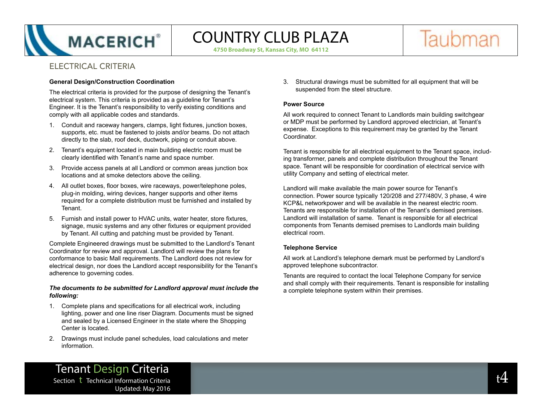

**4750 Broadway St, Kansas City, MO 64112**

Taubman

## ELECTRICAL CRITERIA

### **General Design/Construction Coordination**

The electrical criteria is provided for the purpose of designing the Tenant's electrical system. This criteria is provided as a guideline for Tenant's Engineer. It is the Tenant's responsibility to verify existing conditions and comply with all applicable codes and standards.

- 1. Conduit and raceway hangers, clamps, light fixtures, junction boxes, supports, etc. must be fastened to joists and/or beams. Do not attach directly to the slab, roof deck, ductwork, piping or conduit above.
- 2. Tenant's equipment located in main building electric room must be clearly identified with Tenant's name and space number.
- 3. Provide access panels at all Landlord or common areas junction box locations and at smoke detectors above the ceiling.
- 4. All outlet boxes, floor boxes, wire raceways, power/telephone poles, plug-in molding, wiring devices, hanger supports and other items required for a complete distribution must be furnished and installed by Tenant.
- 5. Furnish and install power to HVAC units, water heater, store fixtures, signage, music systems and any other fixtures or equipment provided by Tenant. All cutting and patching must be provided by Tenant.

Complete Engineered drawings must be submitted to the Landlord's Tenant Coordinator for review and approval. Landlord will review the plans for conformance to basic Mall requirements. The Landlord does not review for electrical design, nor does the Landlord accept responsibility for the Tenant's adherence to governing codes.

#### *The documents to be submitted for Landlord approval must include the following:*

- 1. Complete plans and specifications for all electrical work, including lighting, power and one line riser Diagram. Documents must be signed and sealed by a Licensed Engineer in the state where the Shopping Center is located.
- 2. Drawings must include panel schedules, load calculations and meter information.

3. Structural drawings must be submitted for all equipment that will be suspended from the steel structure.

### **Power Source**

All work required to connect Tenant to Landlords main building switchgear or MDP must be performed by Landlord approved electrician, at Tenant's expense. Exceptions to this requirement may be granted by the Tenant Coordinator.

Tenant is responsible for all electrical equipment to the Tenant space, including transformer, panels and complete distribution throughout the Tenant space. Tenant will be responsible for coordination of electrical service with utility Company and setting of electrical meter.

Landlord will make available the main power source for Tenant's connection. Power source typically 120/208 and 277/480V, 3 phase, 4 wire KCP&L networkpower and will be available in the nearest electric room. Tenants are responsible for installation of the Tenant's demised premises. Landlord will installation of same. Tenant is responsible for all electrical components from Tenants demised premises to Landlords main building electrical room.

## **Telephone Service**

All work at Landlord's telephone demark must be performed by Landlord's approved telephone subcontractor.

Tenants are required to contact the local Telephone Company for service and shall comply with their requirements. Tenant is responsible for installing a complete telephone system within their premises.

Tenant Design Criteria Section the children of the contraction  $\mathfrak{t}4$ Updated: May 2016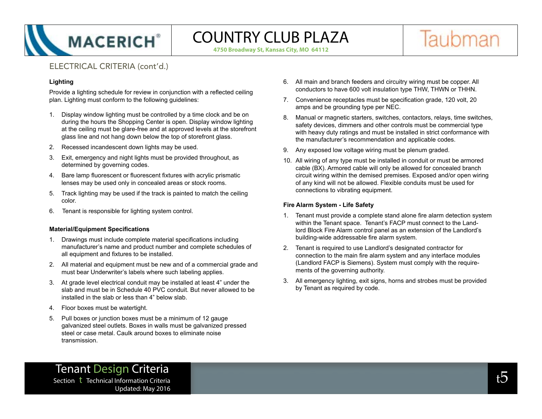

**4750 Broadway St, Kansas City, MO 64112**



## ELECTRICAL CRITERIA (cont'd.)

## **Lighting**

Provide a lighting schedule for review in conjunction with a reflected ceiling plan. Lighting must conform to the following guidelines:

- 1. Display window lighting must be controlled by a time clock and be on during the hours the Shopping Center is open. Display window lighting at the ceiling must be glare-free and at approved levels at the storefront glass line and not hang down below the top of storefront glass.
- 2. Recessed incandescent down lights may be used.
- 3. Exit, emergency and night lights must be provided throughout, as determined by governing codes.
- 4. Bare lamp fluorescent or fluorescent fixtures with acrylic prismatic lenses may be used only in concealed areas or stock rooms.
- 5. Track lighting may be used if the track is painted to match the ceiling color.
- 6. Tenant is responsible for lighting system control.

## **Material/Equipment Specifications**

- 1. Drawings must include complete material specifications including manufacturer's name and product number and complete schedules of all equipment and fixtures to be installed.
- 2. All material and equipment must be new and of a commercial grade and must bear Underwriter's labels where such labeling applies.
- 3. At grade level electrical conduit may be installed at least 4" under the slab and must be in Schedule 40 PVC conduit. But never allowed to be installed in the slab or less than 4" below slab.
- 4. Floor boxes must be watertight.
- 5. Pull boxes or junction boxes must be a minimum of 12 gauge galvanized steel outlets. Boxes in walls must be galvanized pressed steel or case metal. Caulk around boxes to eliminate noise transmission.
- 6. All main and branch feeders and circuitry wiring must be copper. All conductors to have 600 volt insulation type THW, THWN or THHN.
- 7. Convenience receptacles must be specification grade, 120 volt, 20 amps and be grounding type per NEC.
- 8. Manual or magnetic starters, switches, contactors, relays, time switches, safety devices, dimmers and other controls must be commercial type with heavy duty ratings and must be installed in strict conformance with the manufacturer's recommendation and applicable codes.
- 9. Any exposed low voltage wiring must be plenum graded.
- 10. All wiring of any type must be installed in conduit or must be armored cable (BX). Armored cable will only be allowed for concealed branch circuit wiring within the demised premises. Exposed and/or open wiring of any kind will not be allowed. Flexible conduits must be used for connections to vibrating equipment.

## **Fire Alarm System - Life Safety**

- 1. Tenant must provide a complete stand alone fire alarm detection system within the Tenant space. Tenant's FACP must connect to the Landlord Block Fire Alarm control panel as an extension of the Landlord's building-wide addressable fire alarm system.
- 2. Tenant is required to use Landlord's designated contractor for connection to the main fire alarm system and any interface modules (Landlord FACP is Siemens). System must comply with the requirements of the governing authority.
- 3. All emergency lighting, exit signs, horns and strobes must be provided by Tenant as required by code.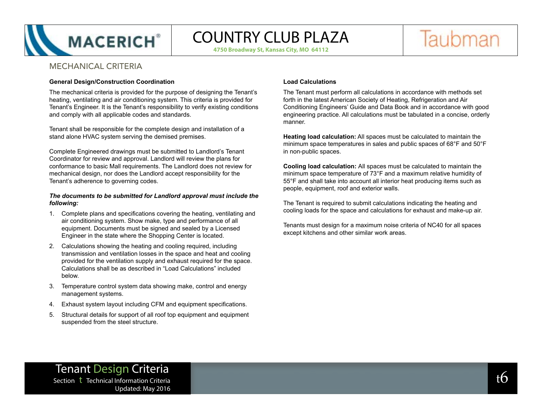

**4750 Broadway St, Kansas City, MO 64112**

Taubman

## MECHANICAL CRITERIA

### **General Design/Construction Coordination**

The mechanical criteria is provided for the purpose of designing the Tenant's heating, ventilating and air conditioning system. This criteria is provided for Tenant's Engineer. It is the Tenant's responsibility to verify existing conditions and comply with all applicable codes and standards.

Tenant shall be responsible for the complete design and installation of a stand alone HVAC system serving the demised premises.

Complete Engineered drawings must be submitted to Landlord's Tenant Coordinator for review and approval. Landlord will review the plans for conformance to basic Mall requirements. The Landlord does not review for mechanical design, nor does the Landlord accept responsibility for the Tenant's adherence to governing codes.

#### *The documents to be submitted for Landlord approval must include the following:*

- 1. Complete plans and specifications covering the heating, ventilating and air conditioning system. Show make, type and performance of all equipment. Documents must be signed and sealed by a Licensed Engineer in the state where the Shopping Center is located.
- 2. Calculations showing the heating and cooling required, including transmission and ventilation losses in the space and heat and cooling provided for the ventilation supply and exhaust required for the space. Calculations shall be as described in "Load Calculations" included below.
- 3. Temperature control system data showing make, control and energy management systems.
- 4. Exhaust system layout including CFM and equipment specifications.
- 5. Structural details for support of all roof top equipment and equipment suspended from the steel structure.

### **Load Calculations**

The Tenant must perform all calculations in accordance with methods set forth in the latest American Society of Heating, Refrigeration and Air Conditioning Engineers' Guide and Data Book and in accordance with good engineering practice. All calculations must be tabulated in a concise, orderly manner.

**Heating load calculation:** All spaces must be calculated to maintain the minimum space temperatures in sales and public spaces of 68°F and 50°F in non-public spaces.

**Cooling load calculation:** All spaces must be calculated to maintain the minimum space temperature of 73°F and a maximum relative humidity of 55°F and shall take into account all interior heat producing items such as people, equipment, roof and exterior walls.

The Tenant is required to submit calculations indicating the heating and cooling loads for the space and calculations for exhaust and make-up air.

Tenants must design for a maximum noise criteria of NC40 for all spaces except kitchens and other similar work areas.

## Tenant Design Criteria Section t Technical Information Criteria the section of the section of the section that  $6$ Updated: May 2016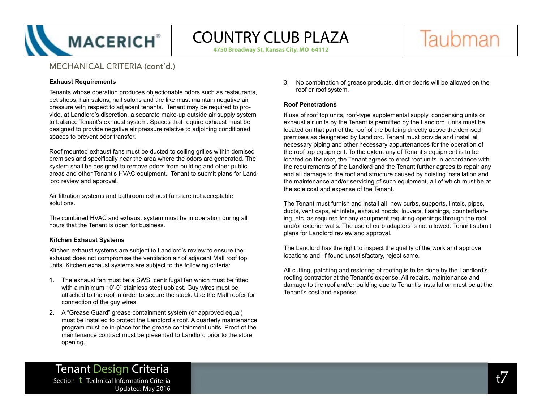

**4750 Broadway St, Kansas City, MO 64112**

Taubman

## MECHANICAL CRITERIA (cont'd.)

### **Exhaust Requirements**

Tenants whose operation produces objectionable odors such as restaurants, pet shops, hair salons, nail salons and the like must maintain negative air pressure with respect to adjacent tenants. Tenant may be required to provide, at Landlord's discretion, a separate make-up outside air supply system to balance Tenant's exhaust system. Spaces that require exhaust must be designed to provide negative air pressure relative to adjoining conditioned spaces to prevent odor transfer.

Roof mounted exhaust fans must be ducted to ceiling grilles within demised premises and specifically near the area where the odors are generated. The system shall be designed to remove odors from building and other public areas and other Tenant's HVAC equipment. Tenant to submit plans for Landlord review and approval.

Air filtration systems and bathroom exhaust fans are not acceptable solutions.

The combined HVAC and exhaust system must be in operation during all hours that the Tenant is open for business.

## **Kitchen Exhaust Systems**

Kitchen exhaust systems are subject to Landlord's review to ensure the exhaust does not compromise the ventilation air of adjacent Mall roof top units. Kitchen exhaust systems are subject to the following criteria:

- 1. The exhaust fan must be a SWSI centrifugal fan which must be fitted with a minimum 10'-0" stainless steel upblast. Guy wires must be attached to the roof in order to secure the stack. Use the Mall roofer for connection of the guy wires.
- 2. A "Grease Guard" grease containment system (or approved equal) must be installed to protect the Landlord's roof. A quarterly maintenance program must be in-place for the grease containment units. Proof of the maintenance contract must be presented to Landlord prior to the store opening.

3. No combination of grease products, dirt or debris will be allowed on the roof or roof system.

## **Roof Penetrations**

If use of roof top units, roof-type supplemental supply, condensing units or exhaust air units by the Tenant is permitted by the Landlord, units must be located on that part of the roof of the building directly above the demised premises as designated by Landlord. Tenant must provide and install all necessary piping and other necessary appurtenances for the operation of the roof top equipment. To the extent any of Tenant's equipment is to be located on the roof, the Tenant agrees to erect roof units in accordance with the requirements of the Landlord and the Tenant further agrees to repair any and all damage to the roof and structure caused by hoisting installation and the maintenance and/or servicing of such equipment, all of which must be at the sole cost and expense of the Tenant.

The Tenant must furnish and install all new curbs, supports, lintels, pipes, ducts, vent caps, air inlets, exhaust hoods, louvers, flashings, counterflashing, etc. as required for any equipment requiring openings through the roof and/or exterior walls. The use of curb adapters is not allowed. Tenant submit plans for Landlord review and approval.

The Landlord has the right to inspect the quality of the work and approve locations and, if found unsatisfactory, reject same.

All cutting, patching and restoring of roofing is to be done by the Landlord's roofing contractor at the Tenant's expense. All repairs, maintenance and damage to the roof and/or building due to Tenant's installation must be at the Tenant's cost and expense.

## Tenant Design Criteria  $S$ ection t Technical Information Criteria tax and the contract of the contract  $t$  of the contract of the contract of the contract of the contract of the contract of the contract of the contract of the contract of the co Updated: May 2016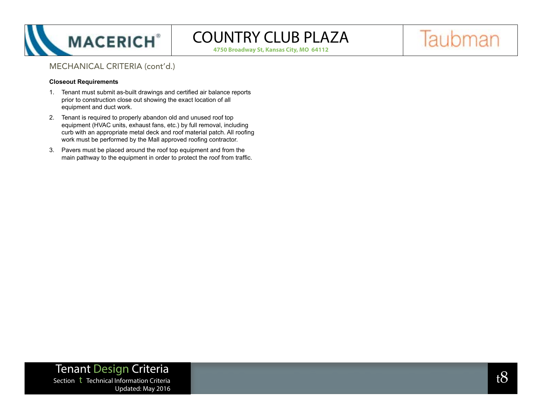

**4750 Broadway St, Kansas City, MO 64112**

# Taubman

## MECHANICAL CRITERIA (cont'd.)

### **Closeout Requirements**

- 1. Tenant must submit as-built drawings and certified air balance reports prior to construction close out showing the exact location of all equipment and duct work.
- 2. Tenant is required to properly abandon old and unused roof top equipment (HVAC units, exhaust fans, etc.) by full removal, including curb with an appropriate metal deck and roof material patch. All roofing work must be performed by the Mall approved roofing contractor.
- 3. Pavers must be placed around the roof top equipment and from the main pathway to the equipment in order to protect the roof from traffic.

Tenant Design Criteria  $S$ Section t Technical Information Criteria tax  $8$ Updated: May 2016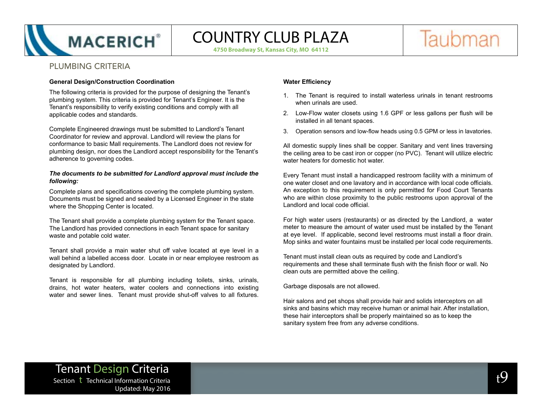

**4750 Broadway St, Kansas City, MO 64112**



## PLUMBING CRITERIA

#### **General Design/Construction Coordination**

The following criteria is provided for the purpose of designing the Tenant's plumbing system. This criteria is provided for Tenant's Engineer. It is the Tenant's responsibility to verify existing conditions and comply with all applicable codes and standards.

Complete Engineered drawings must be submitted to Landlord's Tenant Coordinator for review and approval. Landlord will review the plans for conformance to basic Mall requirements. The Landlord does not review for plumbing design, nor does the Landlord accept responsibility for the Tenant's adherence to governing codes.

#### *The documents to be submitted for Landlord approval must include the following:*

Complete plans and specifications covering the complete plumbing system. Documents must be signed and sealed by a Licensed Engineer in the state where the Shopping Center is located.

The Tenant shall provide a complete plumbing system for the Tenant space. The Landlord has provided connections in each Tenant space for sanitary waste and potable cold water.

Tenant shall provide a main water shut off valve located at eye level in a wall behind a labelled access door. Locate in or near employee restroom as designated by Landlord.

Tenant is responsible for all plumbing including toilets, sinks, urinals, drains, hot water heaters, water coolers and connections into existing water and sewer lines. Tenant must provide shut-off valves to all fixtures.

## **Water Efficiency**

- 1. The Tenant is required to install waterless urinals in tenant restrooms when urinals are used.
- 2. Low-Flow water closets using 1.6 GPF or less gallons per flush will be installed in all tenant spaces.
- 3. Operation sensors and low-flow heads using 0.5 GPM or less in lavatories.

All domestic supply lines shall be copper. Sanitary and vent lines traversing the ceiling area to be cast iron or copper (no PVC). Tenant will utilize electric water heaters for domestic hot water.

Every Tenant must install a handicapped restroom facility with a minimum of one water closet and one lavatory and in accordance with local code officials. An exception to this requirement is only permitted for Food Court Tenants who are within close proximity to the public restrooms upon approval of the Landlord and local code official.

For high water users (restaurants) or as directed by the Landlord, a water meter to measure the amount of water used must be installed by the Tenant at eye level. If applicable, second level restrooms must install a floor drain. Mop sinks and water fountains must be installed per local code requirements.

Tenant must install clean outs as required by code and Landlord's requirements and these shall terminate flush with the finish floor or wall. No clean outs are permitted above the ceiling.

Garbage disposals are not allowed.

Hair salons and pet shops shall provide hair and solids interceptors on all sinks and basins which may receive human or animal hair. After installation, these hair interceptors shall be properly maintained so as to keep the sanitary system free from any adverse conditions.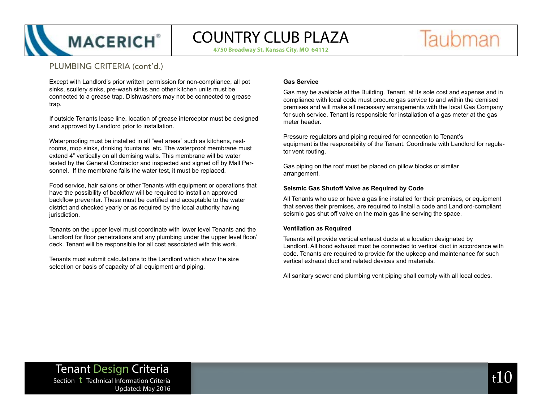

**4750 Broadway St, Kansas City, MO 64112**

Taubman

## PLUMBING CRITERIA (cont'd.)

Except with Landlord's prior written permission for non-compliance, all pot sinks, scullery sinks, pre-wash sinks and other kitchen units must be connected to a grease trap. Dishwashers may not be connected to grease trap.

If outside Tenants lease line, location of grease interceptor must be designed and approved by Landlord prior to installation.

Waterproofing must be installed in all "wet areas" such as kitchens, restrooms, mop sinks, drinking fountains, etc. The waterproof membrane must extend 4" vertically on all demising walls. This membrane will be water tested by the General Contractor and inspected and signed off by Mall Personnel. If the membrane fails the water test, it must be replaced.

Food service, hair salons or other Tenants with equipment or operations that have the possibility of backflow will be required to install an approved backflow preventer. These must be certified and acceptable to the water district and checked yearly or as required by the local authority having jurisdiction.

Tenants on the upper level must coordinate with lower level Tenants and the Landlord for floor penetrations and any plumbing under the upper level floor/ deck. Tenant will be responsible for all cost associated with this work.

Tenants must submit calculations to the Landlord which show the size selection or basis of capacity of all equipment and piping.

### **Gas Service**

Gas may be available at the Building. Tenant, at its sole cost and expense and in compliance with local code must procure gas service to and within the demised premises and will make all necessary arrangements with the local Gas Company for such service. Tenant is responsible for installation of a gas meter at the gas meter header.

Pressure regulators and piping required for connection to Tenant's equipment is the responsibility of the Tenant. Coordinate with Landlord for regulator vent routing.

Gas piping on the roof must be placed on pillow blocks or similar arrangement.

#### **Seismic Gas Shutoff Valve as Required by Code**

All Tenants who use or have a gas line installed for their premises, or equipment that serves their premises, are required to install a code and Landlord-compliant seismic gas shut off valve on the main gas line serving the space.

#### **Ventilation as Required**

Tenants will provide vertical exhaust ducts at a location designated by Landlord. All hood exhaust must be connected to vertical duct in accordance with code. Tenants are required to provide for the upkeep and maintenance for such vertical exhaust duct and related devices and materials.

All sanitary sewer and plumbing vent piping shall comply with all local codes.